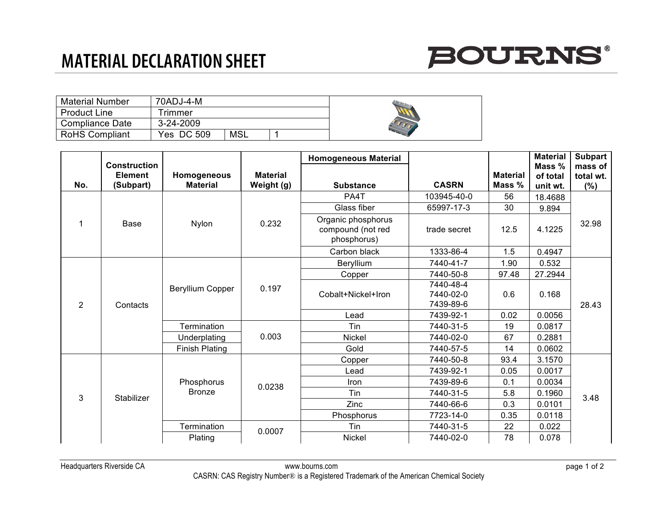## **MATERIAL DECLARATION SHEET**



| <b>Material Number</b> | 70ADJ-4-M     |     |  |
|------------------------|---------------|-----|--|
| <b>Product Line</b>    | <b>Timmer</b> |     |  |
| Compliance Date        | 3-24-2009     |     |  |
| <b>RoHS Compliant</b>  | Yes DC 509    | MSL |  |

|     | <b>Construction</b>         |                                |                               | <b>Homogeneous Material</b>                            |                                     |                           | <b>Material</b>                | <b>Subpart</b>              |
|-----|-----------------------------|--------------------------------|-------------------------------|--------------------------------------------------------|-------------------------------------|---------------------------|--------------------------------|-----------------------------|
| No. | <b>Element</b><br>(Subpart) | Homogeneous<br><b>Material</b> | <b>Material</b><br>Weight (g) | <b>Substance</b>                                       | <b>CASRN</b>                        | <b>Material</b><br>Mass % | Mass %<br>of total<br>unit wt. | mass of<br>total wt.<br>(%) |
|     | Base                        | Nylon                          | 0.232                         | PA4T                                                   | 103945-40-0                         | 56                        | 18.4688                        | 32.98                       |
|     |                             |                                |                               | Glass fiber                                            | 65997-17-3                          | 30                        | 9.894                          |                             |
|     |                             |                                |                               | Organic phosphorus<br>compound (not red<br>phosphorus) | trade secret                        | 12.5                      | 4.1225                         |                             |
|     |                             |                                |                               | Carbon black                                           | 1333-86-4                           | 1.5                       | 0.4947                         |                             |
| 2   | Contacts                    | Beryllium Copper               | 0.197                         | Beryllium                                              | 7440-41-7                           | 1.90                      | 0.532                          | 28.43                       |
|     |                             |                                |                               | Copper                                                 | 7440-50-8                           | 97.48                     | 27.2944                        |                             |
|     |                             |                                |                               | Cobalt+Nickel+Iron                                     | 7440-48-4<br>7440-02-0<br>7439-89-6 | 0.6                       | 0.168                          |                             |
|     |                             |                                |                               | Lead                                                   | 7439-92-1                           | 0.02                      | 0.0056                         |                             |
|     |                             | Termination                    | 0.003                         | Tin                                                    | 7440-31-5                           | 19                        | 0.0817                         |                             |
|     |                             | Underplating                   |                               | <b>Nickel</b>                                          | 7440-02-0                           | 67                        | 0.2881                         |                             |
|     |                             | <b>Finish Plating</b>          |                               | Gold                                                   | 7440-57-5                           | 14                        | 0.0602                         |                             |
| 3   | Stabilizer                  | Phosphorus<br><b>Bronze</b>    | 0.0238                        | Copper                                                 | 7440-50-8                           | 93.4                      | 3.1570                         | 3.48                        |
|     |                             |                                |                               | Lead                                                   | 7439-92-1                           | 0.05                      | 0.0017                         |                             |
|     |                             |                                |                               | Iron                                                   | 7439-89-6                           | 0.1                       | 0.0034                         |                             |
|     |                             |                                |                               | Tin                                                    | 7440-31-5                           | 5.8                       | 0.1960                         |                             |
|     |                             |                                |                               | Zinc                                                   | 7440-66-6                           | 0.3                       | 0.0101                         |                             |
|     |                             |                                |                               | Phosphorus                                             | 7723-14-0                           | 0.35                      | 0.0118                         |                             |
|     |                             | Termination                    | 0.0007                        | Tin                                                    | 7440-31-5                           | 22                        | 0.022                          |                             |
|     |                             | Plating                        |                               | Nickel                                                 | 7440-02-0                           | 78                        | 0.078                          |                             |